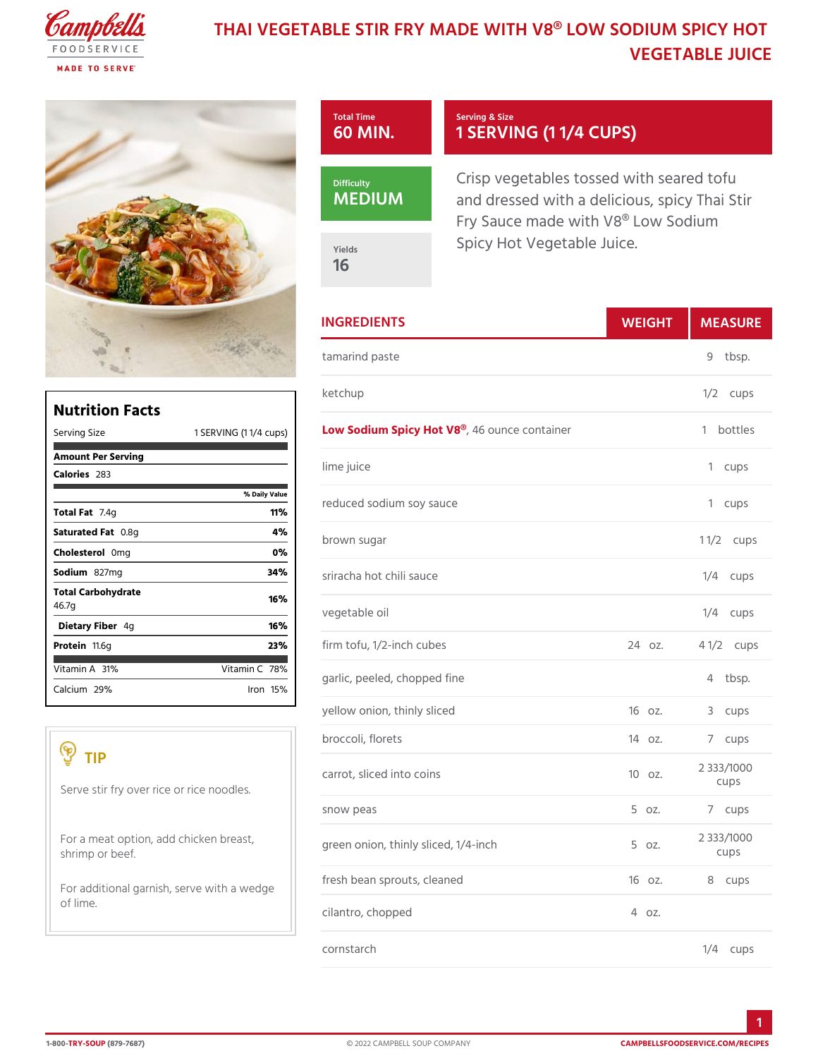# THAI VEGETABLE STIR FRY MADE WITH HOOD L **VEGETABLE JU**



|                                                  |                               | <b>INGREDIENTS</b>                                                                                                                                                                                                                                                                                              | WEIGH    | MEASU                |
|--------------------------------------------------|-------------------------------|-----------------------------------------------------------------------------------------------------------------------------------------------------------------------------------------------------------------------------------------------------------------------------------------------------------------|----------|----------------------|
|                                                  |                               | tamarind paste                                                                                                                                                                                                                                                                                                  |          | 9 tbsp.              |
|                                                  |                               | ketchup                                                                                                                                                                                                                                                                                                         |          | $1/2$ cups           |
| <b>Nutrition Facts</b><br>Serving Size           |                               | 1 SERVING (1 1/4 LeQ Ws) Sodium Spicy 4H to to M & ®e container                                                                                                                                                                                                                                                 |          | 1 bottles            |
| Amount Per Serving<br>$C$ alorie $2s3$           |                               | lime juice                                                                                                                                                                                                                                                                                                      |          | 1 cups               |
| Total Fat4g                                      | % Daily Value<br>11%          | reduced sodium soy sauce                                                                                                                                                                                                                                                                                        |          | 1 cups               |
| Saturated OF. & tg<br>Choleste@onig              | 4 %<br>0%                     | brown sugar                                                                                                                                                                                                                                                                                                     |          | $11/2$ ups           |
| Sodium 827mg                                     | 34%                           | sriracha hot chili sauce                                                                                                                                                                                                                                                                                        |          | $1/4$ cups           |
| Total Carbohydrate<br>46.7g<br>Dietary F4ger     | 16%<br>16%                    | vegetable oil                                                                                                                                                                                                                                                                                                   |          | $1/4$ cups           |
| Proteifi1.6g                                     | 23%                           | firm tofu, 1/2-inch cubes                                                                                                                                                                                                                                                                                       | 24 oz.   | $4 \frac{1}{2}$ cups |
| Vitamin3A%<br>Calciu2n9%                         | Vitamin78%<br>$l$ ron 15 $\%$ | garlic, peeled, chopped fine                                                                                                                                                                                                                                                                                    |          | 4 tbsp.              |
|                                                  |                               | yellow onion, thinly sliced                                                                                                                                                                                                                                                                                     | 160z.    | 3 cups               |
|                                                  |                               | broccoli, florets                                                                                                                                                                                                                                                                                               | 140z.    | 7 cups               |
| TIP<br>Serve stir fry over rice or rice noodles. |                               | carrot, sliced into coins                                                                                                                                                                                                                                                                                       | 100z.    | 2 333/1000<br>cups   |
|                                                  |                               | snow peas                                                                                                                                                                                                                                                                                                       | $5.0Z$ . | 7 cups               |
| shrimp or beef.                                  |                               | For a meat option, add chickeng $\beta$ g and $\beta$ and $\beta$ and $\gamma$ and $\gamma$ and $\gamma$ and $\gamma$ and $\gamma$ and $\gamma$ and $\gamma$ and $\gamma$ and $\gamma$ and $\gamma$ and $\gamma$ and $\gamma$ and $\gamma$ and $\gamma$ and $\gamma$ and $\gamma$ and $\gamma$ and $\gamma$ and |          | 2 333/1000<br>cups   |
|                                                  |                               | For additional garnish, serve with a wedge                                                                                                                                                                                                                                                                      | 160z.    | 8 cups               |
| of lime.                                         |                               | cilantro, chopped                                                                                                                                                                                                                                                                                               | 4 0Z.    |                      |
|                                                  |                               | cornstarch                                                                                                                                                                                                                                                                                                      |          | $1/4$ cups           |

1